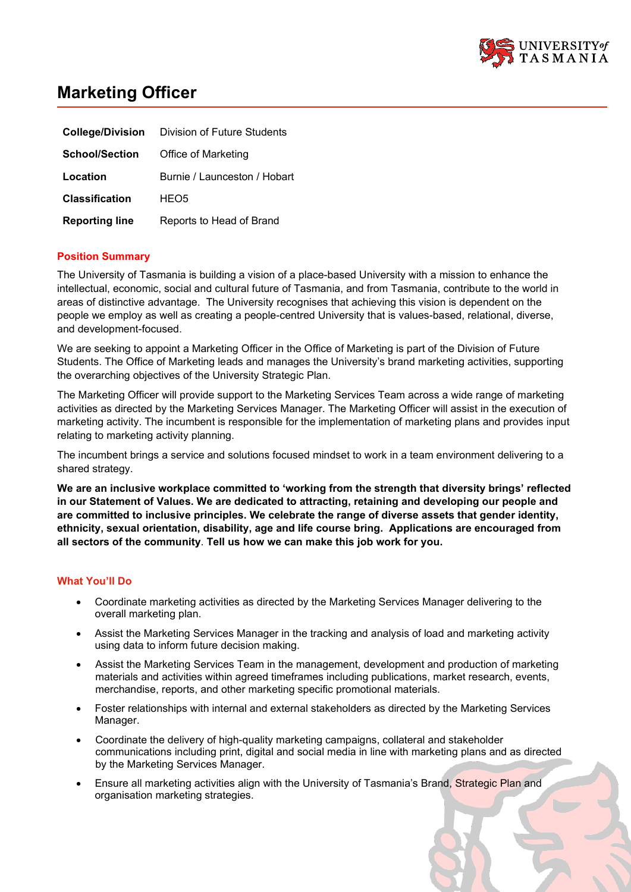

# **Marketing Officer**

|                       | <b>College/Division</b> Division of Future Students |
|-----------------------|-----------------------------------------------------|
| <b>School/Section</b> | Office of Marketing                                 |
| Location              | Burnie / Launceston / Hobart                        |
| <b>Classification</b> | HEO <sub>5</sub>                                    |
| <b>Reporting line</b> | Reports to Head of Brand                            |

## **Position Summary**

The University of Tasmania is building a vision of a place-based University with a mission to enhance the intellectual, economic, social and cultural future of Tasmania, and from Tasmania, contribute to the world in areas of distinctive advantage. The University recognises that achieving this vision is dependent on the people we employ as well as creating a people-centred University that is values-based, relational, diverse, and development-focused.

We are seeking to appoint a Marketing Officer in the Office of Marketing is part of the Division of Future Students. The Office of Marketing leads and manages the University's brand marketing activities, supporting the overarching objectives of the University Strategic Plan.

The Marketing Officer will provide support to the Marketing Services Team across a wide range of marketing activities as directed by the Marketing Services Manager. The Marketing Officer will assist in the execution of marketing activity. The incumbent is responsible for the implementation of marketing plans and provides input relating to marketing activity planning.

The incumbent brings a service and solutions focused mindset to work in a team environment delivering to a shared strategy.

**We are an inclusive workplace committed to 'working from the strength that diversity brings' reflected in our Statement of Values. We are dedicated to attracting, retaining and developing our people and are committed to inclusive principles. We celebrate the range of diverse assets that gender identity, ethnicity, sexual orientation, disability, age and life course bring. Applications are encouraged from all sectors of the community**. **Tell us how we can make this job work for you.**

### **What You'll Do**

- Coordinate marketing activities as directed by the Marketing Services Manager delivering to the overall marketing plan.
- Assist the Marketing Services Manager in the tracking and analysis of load and marketing activity using data to inform future decision making.
- Assist the Marketing Services Team in the management, development and production of marketing materials and activities within agreed timeframes including publications, market research, events, merchandise, reports, and other marketing specific promotional materials.
- Foster relationships with internal and external stakeholders as directed by the Marketing Services Manager.
- Coordinate the delivery of high-quality marketing campaigns, collateral and stakeholder communications including print, digital and social media in line with marketing plans and as directed by the Marketing Services Manager.
- Ensure all marketing activities align with the University of Tasmania's Brand, Strategic Plan and organisation marketing strategies.